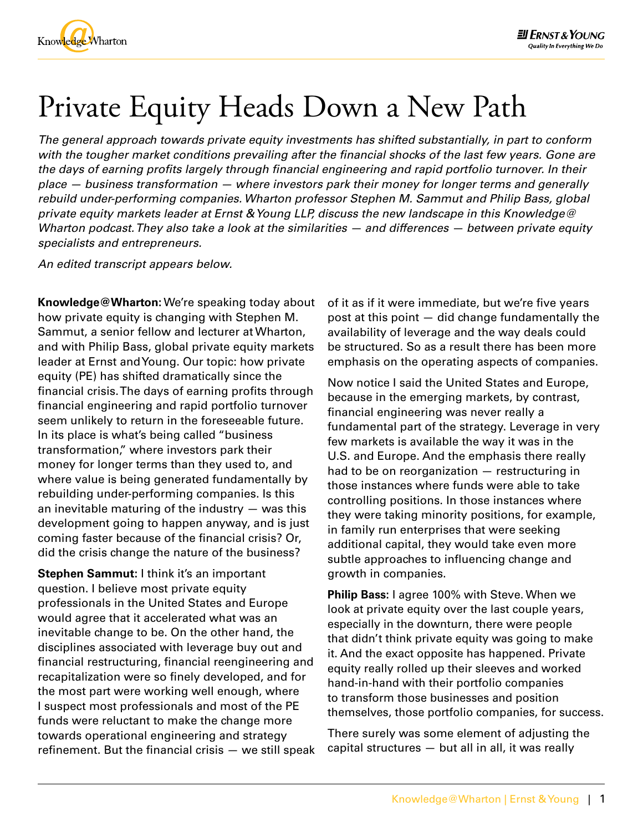

## Private Equity Heads Down a New Path

*The general approach towards private equity investments has shifted substantially, in part to conform with the tougher market conditions prevailing after the financial shocks of the last few years. Gone are the days of earning profits largely through financial engineering and rapid portfolio turnover. In their place — business transformation — where investors park their money for longer terms and generally rebuild under-performing companies. Wharton professor [Stephen M. Sammut](http://wep.wharton.upenn.edu/teaching/faculty/sammut.html) and Philip Bass, global private equity markets leader at Ernst & Young LLP, discuss the new landscape in this Knowledge@ Wharton podcast. They also take a look at the similarities — and differences — between private equity specialists and entrepreneurs.*

*An edited transcript appears below.*

**Knowledge@Wharton:** We're speaking today about how private equity is changing with [Stephen M.](http://wep.wharton.upenn.edu/teaching/faculty/sammut.html)  [Sammut](http://wep.wharton.upenn.edu/teaching/faculty/sammut.html), a senior fellow and lecturer at Wharton, and with Philip Bass, global private equity markets leader at Ernst and Young. Our topic: how private equity (PE) has shifted dramatically since the financial crisis. The days of earning profits through financial engineering and rapid portfolio turnover seem unlikely to return in the foreseeable future. In its place is what's being called "business transformation," where investors park their money for longer terms than they used to, and where value is being generated fundamentally by rebuilding under-performing companies. Is this an inevitable maturing of the industry  $-$  was this development going to happen anyway, and is just coming faster because of the financial crisis? Or, did the crisis change the nature of the business?

**Stephen Sammut:** I think it's an important question. I believe most private equity professionals in the United States and Europe would agree that it accelerated what was an inevitable change to be. On the other hand, the disciplines associated with leverage buy out and financial restructuring, financial reengineering and recapitalization were so finely developed, and for the most part were working well enough, where I suspect most professionals and most of the PE funds were reluctant to make the change more towards operational engineering and strategy refinement. But the financial crisis — we still speak of it as if it were immediate, but we're five years post at this point — did change fundamentally the availability of leverage and the way deals could be structured. So as a result there has been more emphasis on the operating aspects of companies.

Now notice I said the United States and Europe, because in the emerging markets, by contrast, financial engineering was never really a fundamental part of the strategy. Leverage in very few markets is available the way it was in the U.S. and Europe. And the emphasis there really had to be on reorganization — restructuring in those instances where funds were able to take controlling positions. In those instances where they were taking minority positions, for example, in family run enterprises that were seeking additional capital, they would take even more subtle approaches to influencing change and growth in companies.

**Philip Bass:** I agree 100% with Steve. When we look at private equity over the last couple years, especially in the downturn, there were people that didn't think private equity was going to make it. And the exact opposite has happened. Private equity really rolled up their sleeves and worked hand-in-hand with their portfolio companies to transform those businesses and position themselves, those portfolio companies, for success.

There surely was some element of adjusting the capital structures — but all in all, it was really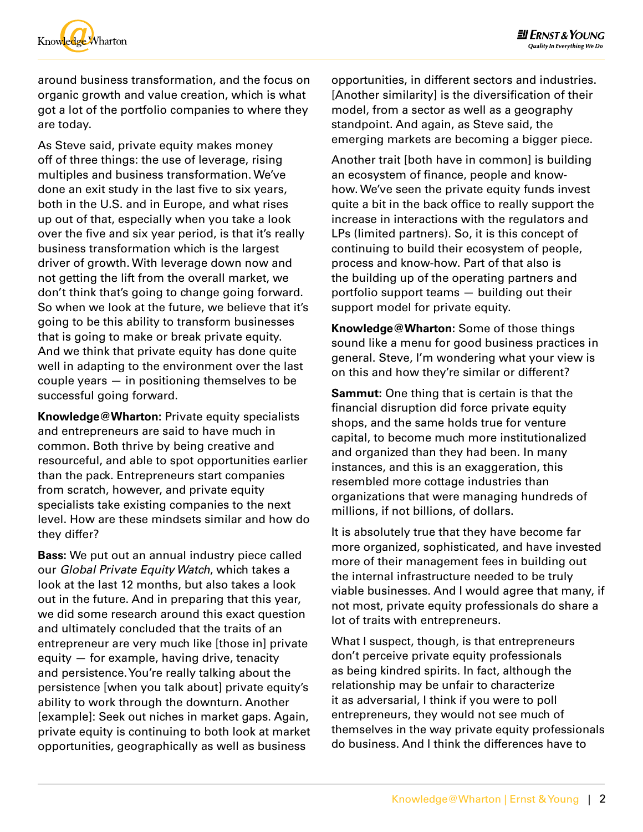

around business transformation, and the focus on organic growth and value creation, which is what got a lot of the portfolio companies to where they are today.

As Steve said, private equity makes money off of three things: the use of leverage, rising multiples and business transformation. We've done an exit study in the last five to six years, both in the U.S. and in Europe, and what rises up out of that, especially when you take a look over the five and six year period, is that it's really business transformation which is the largest driver of growth. With leverage down now and not getting the lift from the overall market, we don't think that's going to change going forward. So when we look at the future, we believe that it's going to be this ability to transform businesses that is going to make or break private equity. And we think that private equity has done quite well in adapting to the environment over the last couple years — in positioning themselves to be successful going forward.

**Knowledge@Wharton:** Private equity specialists and entrepreneurs are said to have much in common. Both thrive by being creative and resourceful, and able to spot opportunities earlier than the pack. Entrepreneurs start companies from scratch, however, and private equity specialists take existing companies to the next level. How are these mindsets similar and how do they differ?

**Bass:** We put out an annual industry piece called our *Global Private Equity Watch*, which takes a look at the last 12 months, but also takes a look out in the future. And in preparing that this year, we did some research around this exact question and ultimately concluded that the traits of an entrepreneur are very much like [those in] private equity — for example, having drive, tenacity and persistence. You're really talking about the persistence [when you talk about] private equity's ability to work through the downturn. Another [example]: Seek out niches in market gaps. Again, private equity is continuing to both look at market opportunities, geographically as well as business

opportunities, in different sectors and industries. [Another similarity] is the diversification of their model, from a sector as well as a geography standpoint. And again, as Steve said, the emerging markets are becoming a bigger piece.

Another trait [both have in common] is building an ecosystem of finance, people and knowhow. We've seen the private equity funds invest quite a bit in the back office to really support the increase in interactions with the regulators and LPs (limited partners). So, it is this concept of continuing to build their ecosystem of people, process and know-how. Part of that also is the building up of the operating partners and portfolio support teams — building out their support model for private equity.

**Knowledge@Wharton:** Some of those things sound like a menu for good business practices in general. Steve, I'm wondering what your view is on this and how they're similar or different?

**Sammut:** One thing that is certain is that the financial disruption did force private equity shops, and the same holds true for venture capital, to become much more institutionalized and organized than they had been. In many instances, and this is an exaggeration, this resembled more cottage industries than organizations that were managing hundreds of millions, if not billions, of dollars.

It is absolutely true that they have become far more organized, sophisticated, and have invested more of their management fees in building out the internal infrastructure needed to be truly viable businesses. And I would agree that many, if not most, private equity professionals do share a lot of traits with entrepreneurs.

What I suspect, though, is that entrepreneurs don't perceive private equity professionals as being kindred spirits. In fact, although the relationship may be unfair to characterize it as adversarial, I think if you were to poll entrepreneurs, they would not see much of themselves in the way private equity professionals do business. And I think the differences have to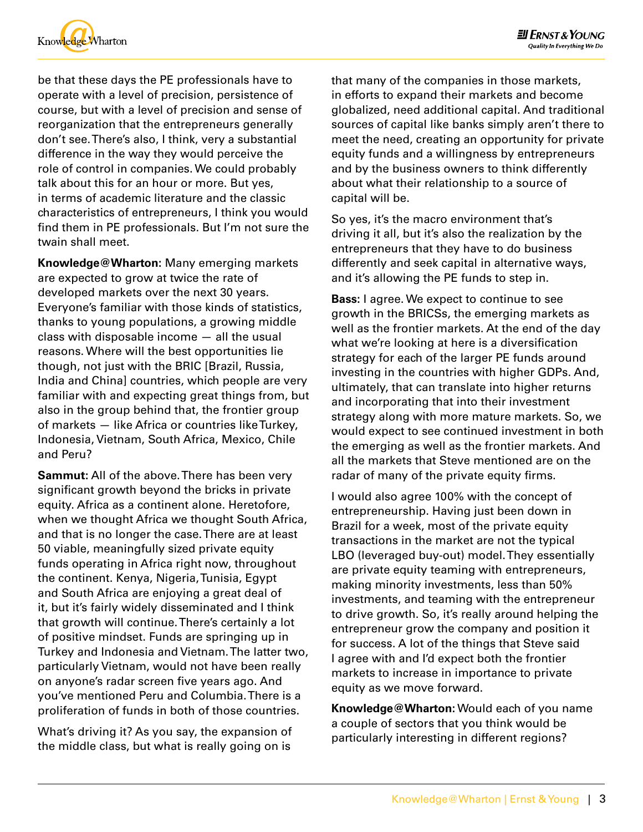

be that these days the PE professionals have to operate with a level of precision, persistence of course, but with a level of precision and sense of reorganization that the entrepreneurs generally don't see. There's also, I think, very a substantial difference in the way they would perceive the role of control in companies. We could probably talk about this for an hour or more. But yes, in terms of academic literature and the classic characteristics of entrepreneurs, I think you would find them in PE professionals. But I'm not sure the twain shall meet.

**Knowledge@Wharton:** Many emerging markets are expected to grow at twice the rate of developed markets over the next 30 years. Everyone's familiar with those kinds of statistics, thanks to young populations, a growing middle class with disposable income — all the usual reasons. Where will the best opportunities lie though, not just with the BRIC [Brazil, Russia, India and China] countries, which people are very familiar with and expecting great things from, but also in the group behind that, the frontier group of markets — like Africa or countries like Turkey, Indonesia, Vietnam, South Africa, Mexico, Chile and Peru?

**Sammut:** All of the above. There has been very significant growth beyond the bricks in private equity. Africa as a continent alone. Heretofore, when we thought Africa we thought South Africa, and that is no longer the case. There are at least 50 viable, meaningfully sized private equity funds operating in Africa right now, throughout the continent. Kenya, Nigeria, Tunisia, Egypt and South Africa are enjoying a great deal of it, but it's fairly widely disseminated and I think that growth will continue. There's certainly a lot of positive mindset. Funds are springing up in Turkey and Indonesia and Vietnam. The latter two, particularly Vietnam, would not have been really on anyone's radar screen five years ago. And you've mentioned Peru and Columbia. There is a proliferation of funds in both of those countries.

What's driving it? As you say, the expansion of the middle class, but what is really going on is

that many of the companies in those markets, in efforts to expand their markets and become globalized, need additional capital. And traditional sources of capital like banks simply aren't there to meet the need, creating an opportunity for private equity funds and a willingness by entrepreneurs and by the business owners to think differently about what their relationship to a source of capital will be.

So yes, it's the macro environment that's driving it all, but it's also the realization by the entrepreneurs that they have to do business differently and seek capital in alternative ways, and it's allowing the PE funds to step in.

**Bass:** I agree. We expect to continue to see growth in the BRICSs, the emerging markets as well as the frontier markets. At the end of the day what we're looking at here is a diversification strategy for each of the larger PE funds around investing in the countries with higher GDPs. And, ultimately, that can translate into higher returns and incorporating that into their investment strategy along with more mature markets. So, we would expect to see continued investment in both the emerging as well as the frontier markets. And all the markets that Steve mentioned are on the radar of many of the private equity firms.

I would also agree 100% with the concept of entrepreneurship. Having just been down in Brazil for a week, most of the private equity transactions in the market are not the typical LBO (leveraged buy-out) model. They essentially are private equity teaming with entrepreneurs, making minority investments, less than 50% investments, and teaming with the entrepreneur to drive growth. So, it's really around helping the entrepreneur grow the company and position it for success. A lot of the things that Steve said I agree with and I'd expect both the frontier markets to increase in importance to private equity as we move forward.

**Knowledge@Wharton:** Would each of you name a couple of sectors that you think would be particularly interesting in different regions?